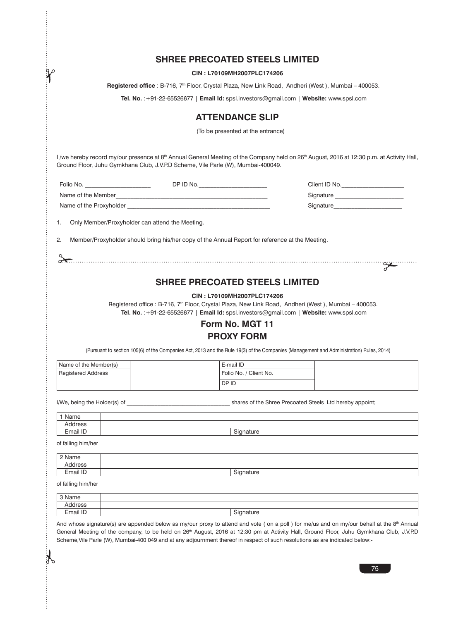| <b>SHREE PRECOATED STEELS LIMITED</b> |  |
|---------------------------------------|--|
|---------------------------------------|--|

**CIN : L70109MH2007PLC174206**

 **Registered office** : B-716, 7th Floor, Crystal Plaza, New Link Road, Andheri (West ), Mumbai – 400053.

**Tel. No.** :+91-22-65526677 | **Email Id:** spsl.investors@gmail.com | **Website:** www.spsl.com

## **ATTENDANCE SLIP**

(To be presented at the entrance)

I /we hereby record my/our presence at 8<sup>th</sup> Annual General Meeting of the Company held on 26<sup>th</sup> August, 2016 at 12:30 p.m. at Activity Hall, Ground Floor, Juhu Gymkhana Club, J.V.P.D Scheme, Vile Parle (W), Mumbai-400049.

| Folio No.               | DP ID No. | Client ID No. |
|-------------------------|-----------|---------------|
| Name of the Member      |           | Signature     |
| Name of the Proxyholder |           | Signature     |

1. Only Member/Proxyholder can attend the Meeting.

2. Member/Proxyholder should bring his/her copy of the Annual Report for reference at the Meeting.

 $2.5$ 

## **SHREE PRECOATED STEELS LIMITED**

### **CIN : L70109MH2007PLC174206**

Registered office : B-716, 7<sup>th</sup> Floor, Crystal Plaza, New Link Road, Andheri (West), Mumbai - 400053. **Tel. No.** :+91-22-65526677 | **Email Id:** spsl.investors@gmail.com | **Website:** www.spsl.com

# **Form No. MGT 11 PROXY FORM**

(Pursuant to section 105(6) of the Companies Act, 2013 and the Rule 19(3) of the Companies (Management and Administration) Rules, 2014)

| Name of the Member(s) | E-mail ID                |  |
|-----------------------|--------------------------|--|
| Registered Address    | l Folio No. / Client No. |  |
|                       | DP ID                    |  |

I/We, being the Holder(s) of **Exercise 2** by the Shree Precoated Steels Ltd hereby appoint;

of falling him/her

1 Name

| $\sim$ Nome |                                 |
|-------------|---------------------------------|
| I USS       |                                 |
| ail ID      | $\overline{\phantom{0}}$<br>. . |

of falling him/her

 $\sum_{i=1}^n$ 

| 3 Name   |                            |
|----------|----------------------------|
| dress    |                            |
| Email ID | $\sim$<br>`ıanature<br>. . |

And whose signature(s) are appended below as my/our proxy to attend and vote (on a poll) for me/us and on my/our behalf at the 8th Annual General Meeting of the company, to be held on 26<sup>th</sup> August, 2016 at 12:30 pm at Activity Hall, Ground Floor, Juhu Gymkhana Club, J.V.P.D Scheme,Vile Parle (W), Mumbai-400 049 and at any adjournment thereof in respect of such resolutions as are indicated below:-

75

<u>se</u>